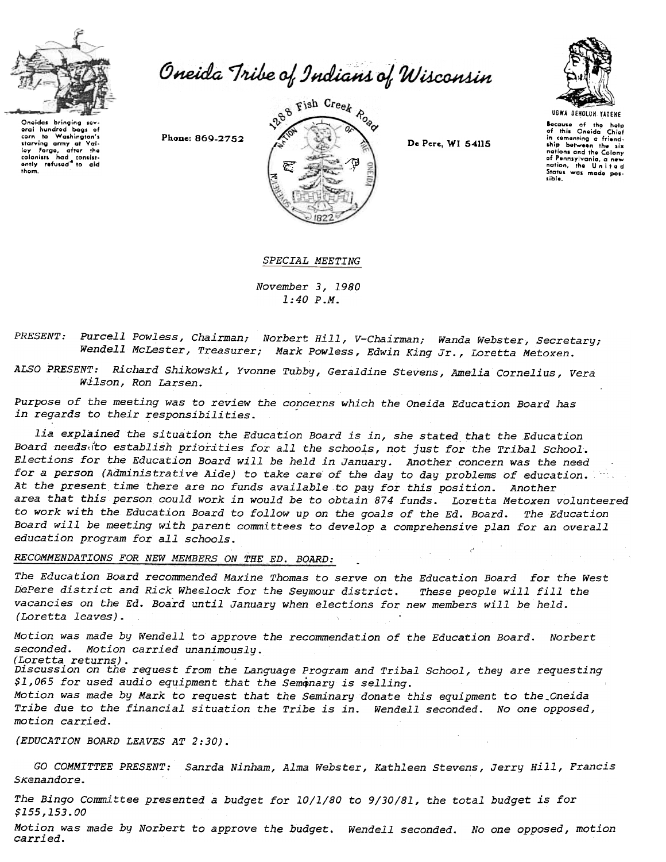

corn to Washington's

corn to the starving army at Val-<br>starving army at Val-<br>low Forge, after the

lay Forge, after the<br>colonists had consist-<br>ently refused to aid

them.

Oneida Tribe of Indians of Wisconsin

Phone: 869-2752



De Pere, WI 54115



Because of the help<br>of this Oneida Chief in comenting a friendnations and the Colony of Pennsylvania, a new nation, the United Status was made possible.

SPECIAL MEETING

November 3, 1980  $1:40$   $P.M.$ 

Purcell Powless, Chairman; Norbert Hill, V-Chairman; Wanda Webster, Secretary; PRESENT: Wendell McLester, Treasurer; Mark Powless, Edwin King Jr., Loretta Metoxen.

Richard Shikowski, Yvonne Tubby, Geraldine Stevens, Amelia Cornelius, Vera ALSO PRESENT: Wilson, Ron Larsen.

Purpose of the meeting was to review the concerns which the Oneida Education Board has in regards to their responsibilities.

lia explained the situation the Education Board is in, she stated that the Education Board needs ito establish priorities for all the schools, not just for the Tribal School. Elections for the Education Board will be held in January. Another concern was the need for a person (Administrative Aide) to take care of the day to day problems of education. At the present time there are no funds available to pay for this position. Another area that this person could work in would be to obtain 874 funds. Loretta Metoxen volunteered to work with the Education Board to follow up on the goals of the Ed. Board. The Education Board will be meeting with parent committees to develop a comprehensive plan for an overall education program for all schools.

RECOMMENDATIONS FOR NEW MEMBERS ON THE ED. BOARD:

The Education Board recommended Maxine Thomas to serve on the Education Board for the West DePere district and Rick Wheelock for the Seymour district. These people will fill the vacancies on the Ed. Board until January when elections for new members will be held. (Loretta leaves).

Motion was made by Wendell to approve the recommendation of the Education Board. Norbert seconded. Motion carried unanimously. (Loretta returns).

Discussion on the request from the Language Program and Tribal School, they are requesting \$1,065 for used audio equipment that the Semonary is selling.

Motion was made by Mark to request that the Seminary donate this equipment to the Oneida Tribe due to the financial situation the Tribe is in. Wendell seconded. No one opposed, motion carried.

(EDUCATION BOARD LEAVES AT 2:30).

GO COMMITTEE PRESENT: Sanrda Ninham, Alma Webster, Kathleen Stevens, Jerry Hill, Francis Skenandore.

The Bingo Committee presented a budget for 10/1/80 to 9/30/81, the total budget is for \$155,153.00

Motion was made by Norbert to approve the budget. Wendell seconded. No one opposed, motion carried.